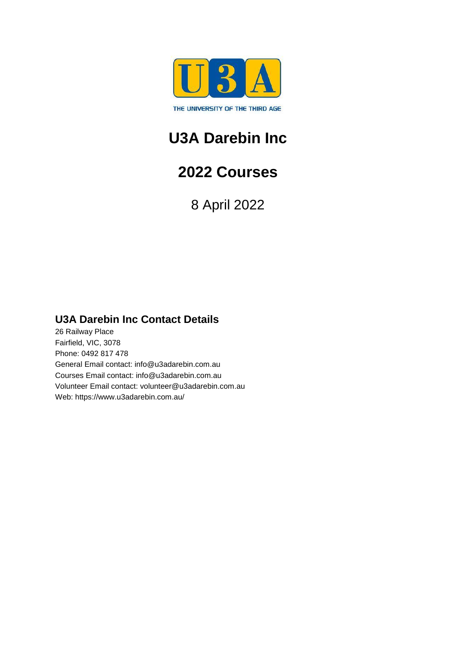

## **U3A Darebin Inc**

## **2022 Courses**

8 April 2022

### **U3A Darebin Inc Contact Details**

26 Railway Place Fairfield, VIC, 3078 Phone: 0492 817 478 General Email contact: info@u3adarebin.com.au Courses Email contact: info@u3adarebin.com.au Volunteer Email contact: volunteer@u3adarebin.com.au Web: https://www.u3adarebin.com.au/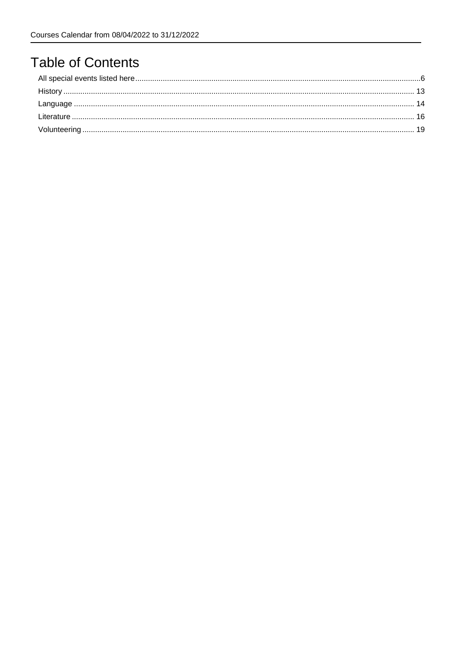## **Table of Contents**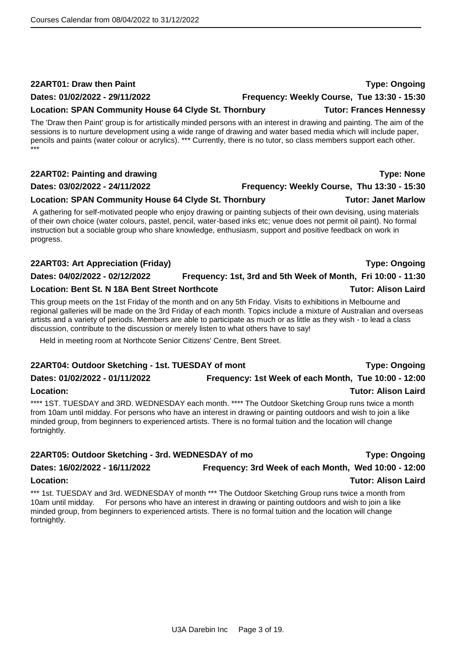### **22ART01: Draw then Paint Type: Ongoing**

### **Dates: 01/02/2022 - 29/11/2022 Frequency: Weekly Course, Tue 13:30 - 15:30**

The 'Draw then Paint' group is for artistically minded persons with an interest in drawing and painting. The aim of the sessions is to nurture development using a wide range of drawing and water based media which will include paper, pencils and paints (water colour or acrylics). \*\*\* Currently, there is no tutor, so class members support each other. \*\*\*

### **22ART02: Painting and drawing Type: None**

### **Dates: 03/02/2022 - 24/11/2022 Frequency: Weekly Course, Thu 13:30 - 15:30**

### **Location: SPAN Community House 64 Clyde St. Thornbury Tutor: Janet Marlow**

A gathering for self-motivated people who enjoy drawing or painting subjects of their own devising, using materials of their own choice (water colours, pastel, pencil, water-based inks etc; venue does not permit oil paint). No formal instruction but a sociable group who share knowledge, enthusiasm, support and positive feedback on work in progress.

### **22ART03: Art Appreciation (Friday) Type: Ongoing**

**Dates: 04/02/2022 - 02/12/2022 Frequency: 1st, 3rd and 5th Week of Month, Fri 10:00 - 11:30**

### **Location: Bent St. N 18A Bent Street Northcote Tutor: Alison Laird**

This group meets on the 1st Friday of the month and on any 5th Friday. Visits to exhibitions in Melbourne and regional galleries will be made on the 3rd Friday of each month. Topics include a mixture of Australian and overseas artists and a variety of periods. Members are able to participate as much or as little as they wish - to lead a class discussion, contribute to the discussion or merely listen to what others have to say!

Held in meeting room at Northcote Senior Citizens' Centre, Bent Street.

### **22ART04: Outdoor Sketching - 1st. TUESDAY of mont Type: Ongoing**

## **Dates: 01/02/2022 - 01/11/2022 Frequency: 1st Week of each Month, Tue 10:00 - 12:00**

### **Location: Tutor: Alison Laird**

\*\*\*\* 1ST. TUESDAY and 3RD. WEDNESDAY each month. \*\*\*\* The Outdoor Sketching Group runs twice a month from 10am until midday. For persons who have an interest in drawing or painting outdoors and wish to join a like minded group, from beginners to experienced artists. There is no formal tuition and the location will change fortnightly.

### **22ART05: Outdoor Sketching - 3rd. WEDNESDAY of mo Type: Ongoing Dates: 16/02/2022 - 16/11/2022 Frequency: 3rd Week of each Month, Wed 10:00 - 12:00 Location: Tutor: Alison Laird**

\*\*\* 1st. TUESDAY and 3rd. WEDNESDAY of month \*\*\* The Outdoor Sketching Group runs twice a month from 10am until midday. For persons who have an interest in drawing or painting outdoors and wish to join a like minded group, from beginners to experienced artists. There is no formal tuition and the location will change fortnightly.

### **Location: SPAN Community House 64 Clyde St. Thornbury Tutor: Frances Hennessy**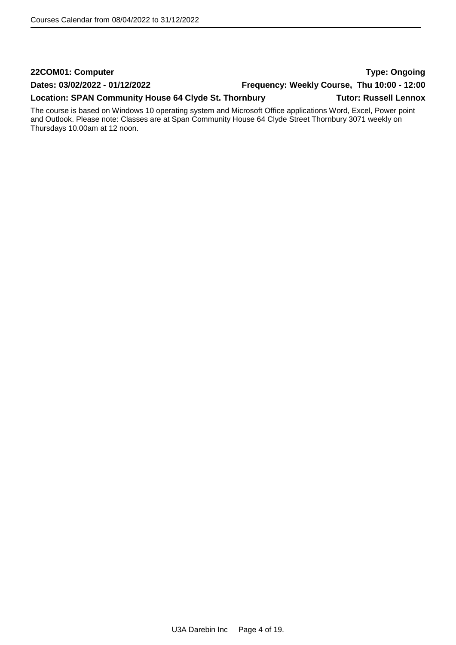## **22COM01: Computer Type: Ongoing Dates: 03/02/2022 - 01/12/2022 Frequency: Weekly Course, Thu 10:00 - 12:00** Location: SPAN Community House 64 Clyde St. Thornbury **Tutor: Russell Lennox**

The course is based on Windows 10 operating system and Microsoft Office applications Word, Excel, Power point and Outlook. Please note: Classes are at Span Community House 64 Clyde Street Thornbury 3071 weekly on Thursdays 10.00am at 12 noon.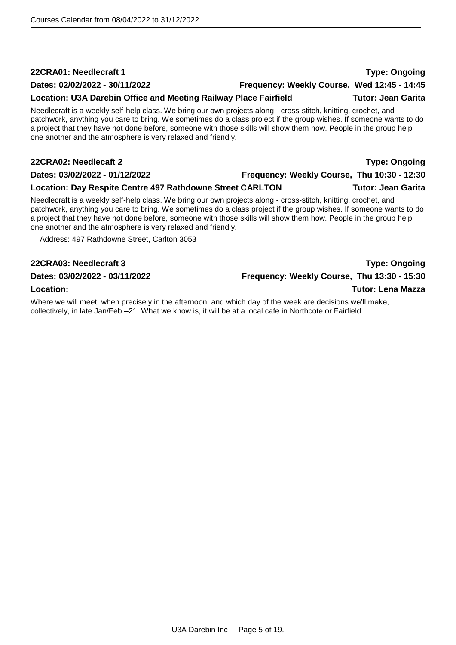### **22CRA01: Needlecraft 1 Type: Ongoing**

### **Dates: 02/02/2022 - 30/11/2022 Frequency: Weekly Course, Wed 12:45 - 14:45**

### Location: U3A Darebin Office and Meeting Railway Place Fairfield **Tutor: Jean Garita**

Needlecraft is a weekly self-help class. We bring our own projects along - cross-stitch, knitting, crochet, and patchwork, anything you care to bring. We sometimes do a class project if the group wishes. If someone wants to do a project that they have not done before, someone with those skills will show them how. People in the group help one another and the atmosphere is very relaxed and friendly.

### **22CRA02: Needlecaft 2 Type: Ongoing**

### **Dates: 03/02/2022 - 01/12/2022 Frequency: Weekly Course, Thu 10:30 - 12:30**

### **Location: Day Respite Centre 497 Rathdowne Street CARLTON Tutor: Jean Garita**

Needlecraft is a weekly self-help class. We bring our own projects along - cross-stitch, knitting, crochet, and patchwork, anything you care to bring. We sometimes do a class project if the group wishes. If someone wants to do a project that they have not done before, someone with those skills will show them how. People in the group help one another and the atmosphere is very relaxed and friendly.

Address: 497 Rathdowne Street, Carlton 3053

### **Dates: 03/02/2022 - 03/11/2022 Frequency: Weekly Course, Thu 13:30 - 15:30**

Where we will meet, when precisely in the afternoon, and which day of the week are decisions we'll make, collectively, in late Jan/Feb –21. What we know is, it will be at a local cafe in Northcote or Fairfield...

**22CRA03: Needlecraft 3 Type: Ongoing**

**Location: Tutor: Lena Mazza**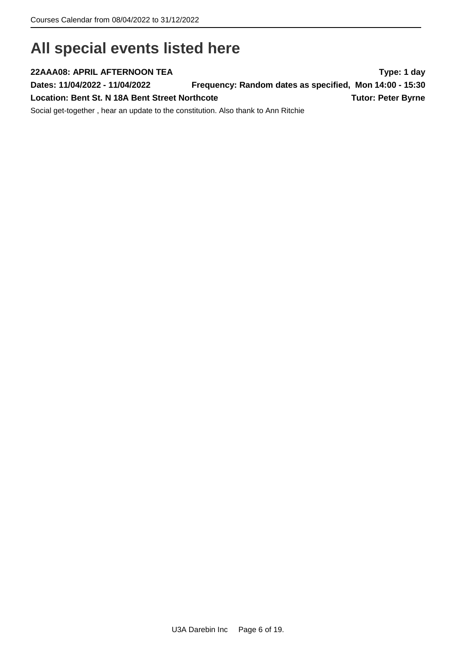## <span id="page-5-0"></span>**All special events listed here**

**22AAA08: APRIL AFTERNOON TEA Type: 1 day Dates: 11/04/2022 - 11/04/2022 Frequency: Random dates as specified, Mon 14:00 - 15:30** Location: Bent St. N 18A Bent Street Northcote **Tutor: Peter Byrne Tutor: Peter Byrne** Social get-together , hear an update to the constitution. Also thank to Ann Ritchie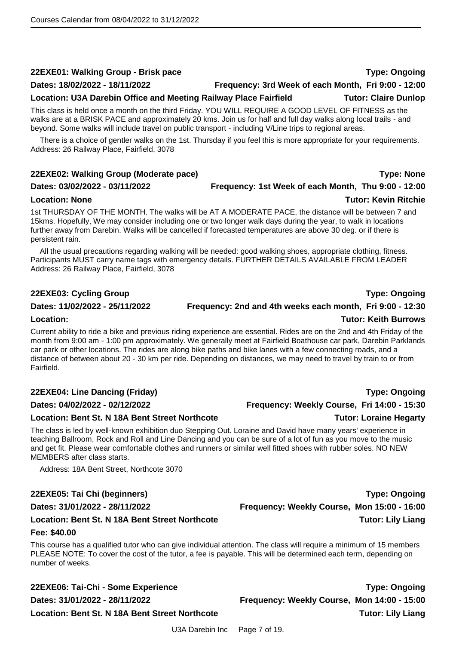### **22EXE01: Walking Group - Brisk pace Type: Ongoing**

### **Dates: 18/02/2022 - 18/11/2022 Frequency: 3rd Week of each Month, Fri 9:00 - 12:00**

### **Location: U3A Darebin Office and Meeting Railway Place Fairfield Tutor: Claire Dunlop**

This class is held once a month on the third Friday. YOU WILL REQUIRE A GOOD LEVEL OF FITNESS as the walks are at a BRISK PACE and approximately 20 kms. Join us for half and full day walks along local trails - and beyond. Some walks will include travel on public transport - including V/Line trips to regional areas.

There is a choice of gentler walks on the 1st. Thursday if you feel this is more appropriate for your requirements. Address: 26 Railway Place, Fairfield, 3078

### **22EXE02: Walking Group (Moderate pace) Type: None**

## **Dates: 03/02/2022 - 03/11/2022 Frequency: 1st Week of each Month, Thu 9:00 - 12:00**

### **Location: None Tutor: Kevin Ritchie**

1st THURSDAY OF THE MONTH. The walks will be AT A MODERATE PACE, the distance will be between 7 and 15kms. Hopefully, We may consider including one or two longer walk days during the year, to walk in locations further away from Darebin. Walks will be cancelled if forecasted temperatures are above 30 deg. or if there is persistent rain.

All the usual precautions regarding walking will be needed: good walking shoes, appropriate clothing, fitness. Participants MUST carry name tags with emergency details. FURTHER DETAILS AVAILABLE FROM LEADER Address: 26 Railway Place, Fairfield, 3078

### **22EXE03: Cycling Group Type: Ongoing**

### **Dates: 11/02/2022 - 25/11/2022 Frequency: 2nd and 4th weeks each month, Fri 9:00 - 12:30**

## **Location: Tutor: Keith Burrows**

Current ability to ride a bike and previous riding experience are essential. Rides are on the 2nd and 4th Friday of the month from 9:00 am - 1:00 pm approximately. We generally meet at Fairfield Boathouse car park, Darebin Parklands car park or other locations. The rides are along bike paths and bike lanes with a few connecting roads, and a distance of between about 20 - 30 km per ride. Depending on distances, we may need to travel by train to or from Fairfield.

### **22EXE04: Line Dancing (Friday) Type: Ongoing**

**Dates: 04/02/2022 - 02/12/2022 Frequency: Weekly Course, Fri 14:00 - 15:30**

### **Location: Bent St. N 18A Bent Street Northcote Tutor: Loraine Hegarty**

The class is led by well-known exhibition duo Stepping Out. Loraine and David have many years' experience in teaching Ballroom, Rock and Roll and Line Dancing and you can be sure of a lot of fun as you move to the music and get fit. Please wear comfortable clothes and runners or similar well fitted shoes with rubber soles. NO NEW MEMBERS after class starts.

Address: 18A Bent Street, Northcote 3070

### **22EXE05: Tai Chi (beginners) Type: Ongoing**

**Dates: 31/01/2022 - 28/11/2022 Frequency: Weekly Course, Mon 15:00 - 16:00**

### **Location: Bent St. N 18A Bent Street Northcote Tutor: Lily Liang Fee: \$40.00**

This course has a qualified tutor who can give individual attention. The class will require a minimum of 15 members PLEASE NOTE: To cover the cost of the tutor, a fee is payable. This will be determined each term, depending on number of weeks.

**22EXE06: Tai-Chi - Some Experience Type: Ongoing**

**Dates: 31/01/2022 - 28/11/2022 Frequency: Weekly Course, Mon 14:00 - 15:00 Location: Bent St. N 18A Bent Street Northcote Tutor: Lily Liang**

U3A Darebin Inc Page 7 of 19.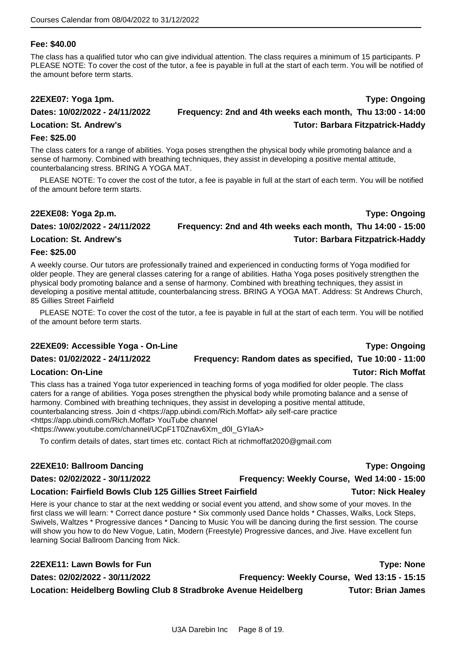### **Fee: \$40.00**

The class has a qualified tutor who can give individual attention. The class requires a minimum of 15 participants. P PLEASE NOTE: To cover the cost of the tutor, a fee is payable in full at the start of each term. You will be notified of the amount before term starts.

### **22EXE07: Yoga 1pm. Type: Ongoing Dates: 10/02/2022 - 24/11/2022 Frequency: 2nd and 4th weeks each month, Thu 13:00 - 14:00 Location: St. Andrew's Tutor: Barbara Fitzpatrick-Haddy**

### **Fee: \$25.00**

The class caters for a range of abilities. Yoga poses strengthen the physical body while promoting balance and a sense of harmony. Combined with breathing techniques, they assist in developing a positive mental attitude, counterbalancing stress. BRING A YOGA MAT.

PLEASE NOTE: To cover the cost of the tutor, a fee is payable in full at the start of each term. You will be notified of the amount before term starts.

### **22EXE08: Yoga 2p.m. Type: Ongoing Dates: 10/02/2022 - 24/11/2022 Frequency: 2nd and 4th weeks each month, Thu 14:00 - 15:00 Location: St. Andrew's Tutor: Barbara Fitzpatrick-Haddy**

### **Fee: \$25.00**

A weekly course. Our tutors are professionally trained and experienced in conducting forms of Yoga modified for older people. They are general classes catering for a range of abilities. Hatha Yoga poses positively strengthen the physical body promoting balance and a sense of harmony. Combined with breathing techniques, they assist in developing a positive mental attitude, counterbalancing stress. BRING A YOGA MAT. Address: St Andrews Church, 85 Gillies Street Fairfield

PLEASE NOTE: To cover the cost of the tutor, a fee is payable in full at the start of each term. You will be notified of the amount before term starts.

### **22EXE09: Accessible Yoga - On-Line Type: Ongoing**

### **Dates: 01/02/2022 - 24/11/2022 Frequency: Random dates as specified, Tue 10:00 - 11:00**

### **Location: On-Line Tutor: Rich Moffat**

This class has a trained Yoga tutor experienced in teaching forms of yoga modified for older people. The class caters for a range of abilities. Yoga poses strengthen the physical body while promoting balance and a sense of harmony. Combined with breathing techniques, they assist in developing a positive mental attitude, counterbalancing stress. Join d <https://app.ubindi.com/Rich.Moffat> aily self-care practice <https://app.ubindi.com/Rich.Moffat> YouTube channel <https://www.youtube.com/channel/UCpF1T0Znav6Xm\_d0I\_GYIaA>

To confirm details of dates, start times etc. contact Rich at richmoffat2020@gmail.com

### **22EXE10: Ballroom Dancing Type: Ongoing**

### **Location: Fairfield Bowls Club 125 Gillies Street Fairfield Tutor: Nick Healey**

Here is your chance to star at the next wedding or social event you attend, and show some of your moves. In the first class we will learn: \* Correct dance posture \* Six commonly used Dance holds \* Chasses, Walks, Lock Steps, Swivels, Waltzes \* Progressive dances \* Dancing to Music You will be dancing during the first session. The course will show you how to do New Vogue, Latin, Modern (Freestyle) Progressive dances, and Jive. Have excellent fun learning Social Ballroom Dancing from Nick.

**22EXE11: Lawn Bowls for Fun Type: None Dates: 02/02/2022 - 30/11/2022 Frequency: Weekly Course, Wed 13:15 - 15:15** Location: Heidelberg Bowling Club 8 Stradbroke Avenue Heidelberg **Tutor: Brian James** 

**Dates: 02/02/2022 - 30/11/2022 Frequency: Weekly Course, Wed 14:00 - 15:00**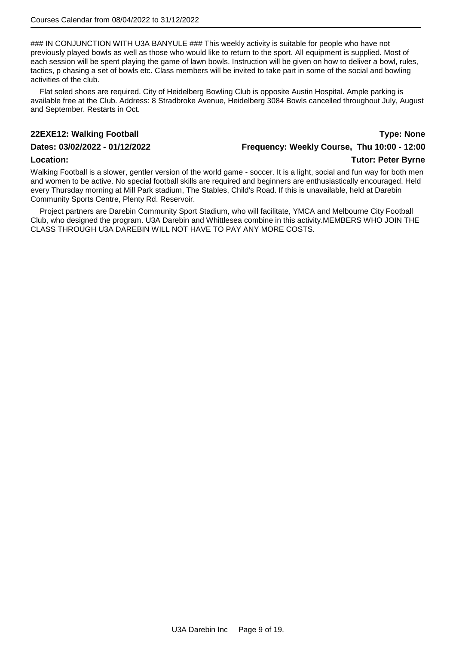### IN CONJUNCTION WITH U3A BANYULE ### This weekly activity is suitable for people who have not previously played bowls as well as those who would like to return to the sport. All equipment is supplied. Most of each session will be spent playing the game of lawn bowls. Instruction will be given on how to deliver a bowl, rules, tactics, p chasing a set of bowls etc. Class members will be invited to take part in some of the social and bowling activities of the club.

Flat soled shoes are required. City of Heidelberg Bowling Club is opposite Austin Hospital. Ample parking is available free at the Club. Address: 8 Stradbroke Avenue, Heidelberg 3084 Bowls cancelled throughout July, August and September. Restarts in Oct.

### **22EXE12: Walking Football Type: None**

### **Dates: 03/02/2022 - 01/12/2022 Frequency: Weekly Course, Thu 10:00 - 12:00**

### **Location: Tutor: Peter Byrne**

Walking Football is a slower, gentler version of the world game - soccer. It is a light, social and fun way for both men and women to be active. No special football skills are required and beginners are enthusiastically encouraged. Held every Thursday morning at Mill Park stadium, The Stables, Child's Road. If this is unavailable, held at Darebin Community Sports Centre, Plenty Rd. Reservoir.

Project partners are Darebin Community Sport Stadium, who will facilitate, YMCA and Melbourne City Football Club, who designed the program. U3A Darebin and Whittlesea combine in this activity.MEMBERS WHO JOIN THE CLASS THROUGH U3A DAREBIN WILL NOT HAVE TO PAY ANY MORE COSTS.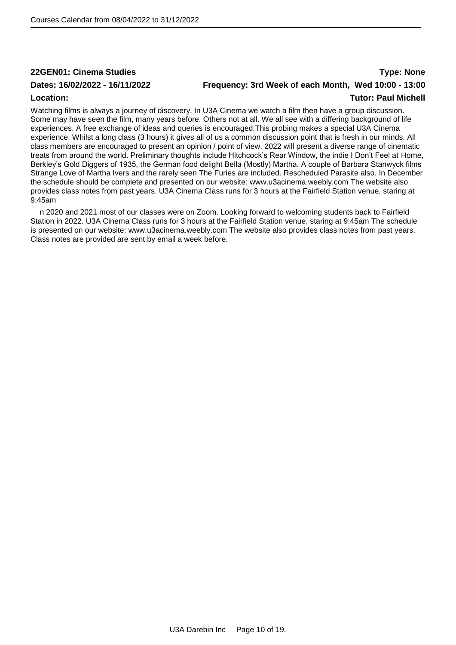### **22GEN01: Cinema Studies Type: None Dates: 16/02/2022 - 16/11/2022 Frequency: 3rd Week of each Month, Wed 10:00 - 13:00 Location: Tutor: Paul Michell**

Watching films is always a journey of discovery. In U3A Cinema we watch a film then have a group discussion. Some may have seen the film, many years before. Others not at all. We all see with a differing background of life experiences. A free exchange of ideas and queries is encouraged.This probing makes a special U3A Cinema experience. Whilst a long class (3 hours) it gives all of us a common discussion point that is fresh in our minds. All class members are encouraged to present an opinion / point of view. 2022 will present a diverse range of cinematic treats from around the world. Preliminary thoughts include Hitchcock's Rear Window, the indie I Don't Feel at Home, Berkley's Gold Diggers of 1935, the German food delight Bella (Mostly) Martha. A couple of Barbara Stanwyck films Strange Love of Martha Ivers and the rarely seen The Furies are included. Rescheduled Parasite also. In December the schedule should be complete and presented on our website: www.u3acinema.weebly.com The website also provides class notes from past years. U3A Cinema Class runs for 3 hours at the Fairfield Station venue, staring at 9:45am

n 2020 and 2021 most of our classes were on Zoom. Looking forward to welcoming students back to Fairfield Station in 2022. U3A Cinema Class runs for 3 hours at the Fairfield Station venue, staring at 9:45am The schedule is presented on our website: www.u3acinema.weebly.com The website also provides class notes from past years. Class notes are provided are sent by email a week before.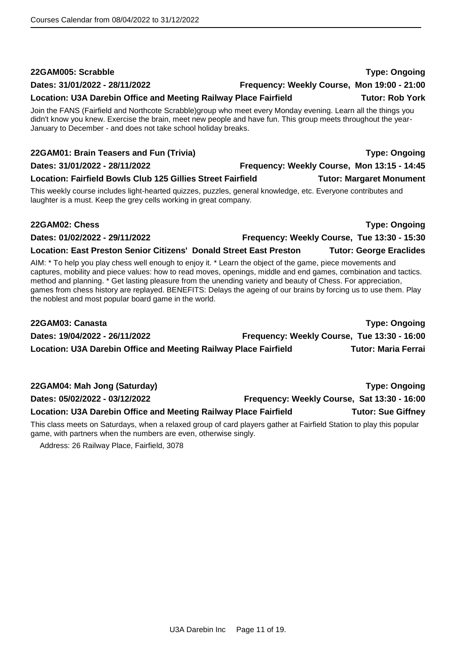U3A Darebin Inc Page 11 of 19.

## Join the FANS (Fairfield and Northcote Scrabble)group who meet every Monday evening. Learn all the things you didn't know you knew. Exercise the brain, meet new people and have fun. This group meets throughout the year-January to December - and does not take school holiday breaks. **22GAM01: Brain Teasers and Fun (Trivia) Type: Ongoing Dates: 31/01/2022 - 28/11/2022 Frequency: Weekly Course, Mon 13:15 - 14:45 Location: Fairfield Bowls Club 125 Gillies Street Fairfield Tutor: Margaret Monument** This weekly course includes light-hearted quizzes, puzzles, general knowledge, etc. Everyone contributes and laughter is a must. Keep the grey cells working in great company. **22GAM02: Chess Type: Ongoing Dates: 01/02/2022 - 29/11/2022 Frequency: Weekly Course, Tue 13:30 - 15:30 Location: East Preston Senior Citizens' Donald Street East Preston Tutor: George Eraclides**

AIM: \* To help you play chess well enough to enjoy it. \* Learn the object of the game, piece movements and captures, mobility and piece values: how to read moves, openings, middle and end games, combination and tactics. method and planning. \* Get lasting pleasure from the unending variety and beauty of Chess. For appreciation, games from chess history are replayed. BENEFITS: Delays the ageing of our brains by forcing us to use them. Play the noblest and most popular board game in the world.

| 22GAM03: Canasta                                                 |                                             | <b>Type: Ongoing</b>       |
|------------------------------------------------------------------|---------------------------------------------|----------------------------|
| Dates: 19/04/2022 - 26/11/2022                                   | Frequency: Weekly Course, Tue 13:30 - 16:00 |                            |
| Location: U3A Darebin Office and Meeting Railway Place Fairfield |                                             | <b>Tutor: Maria Ferrai</b> |

| 22GAM04: Mah Jong (Saturday)                                     |                                             | <b>Type: Ongoing</b>      |
|------------------------------------------------------------------|---------------------------------------------|---------------------------|
| Dates: 05/02/2022 - 03/12/2022                                   | Frequency: Weekly Course, Sat 13:30 - 16:00 |                           |
| Location: U3A Darebin Office and Meeting Railway Place Fairfield |                                             | <b>Tutor: Sue Giffney</b> |

This class meets on Saturdays, when a relaxed group of card players gather at Fairfield Station to play this popular game, with partners when the numbers are even, otherwise singly.

Address: 26 Railway Place, Fairfield, 3078

**Dates: 31/01/2022 - 28/11/2022 Frequency: Weekly Course, Mon 19:00 - 21:00**

**Location: U3A Darebin Office and Meeting Railway Place Fairfield Tutor: Rob York**

**22GAM005: Scrabble Type: Ongoing**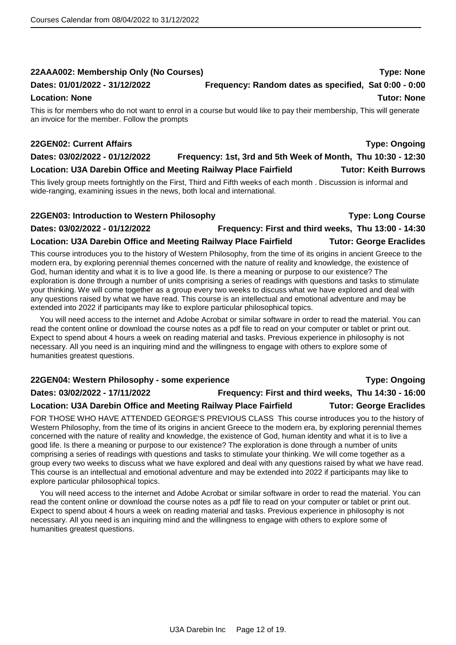### **22AAA002: Membership Only (No Courses) Type: None**

### **Dates: 01/01/2022 - 31/12/2022 Frequency: Random dates as specified, Sat 0:00 - 0:00**

### **Location: None** Tutor: None Tutor: None Tutor: None Tutor: None Tutor: None Tutor: None Tutor: None Tutor: None

This is for members who do not want to enrol in a course but would like to pay their membership, This will generate an invoice for the member. Follow the prompts

### **22GEN02: Current Affairs Type: Ongoing**

## **Dates: 03/02/2022 - 01/12/2022 Frequency: 1st, 3rd and 5th Week of Month, Thu 10:30 - 12:30**

**Location: U3A Darebin Office and Meeting Railway Place Fairfield Tutor: Keith Burrows**

This lively group meets fortnightly on the First, Third and Fifth weeks of each month . Discussion is informal and wide-ranging, examining issues in the news, both local and international.

### **22GEN03: Introduction to Western Philosophy Type: Long Course**

## **Dates: 03/02/2022 - 01/12/2022 Frequency: First and third weeks, Thu 13:00 - 14:30**

### **Location: U3A Darebin Office and Meeting Railway Place Fairfield Tutor: George Eraclides**

This course introduces you to the history of Western Philosophy, from the time of its origins in ancient Greece to the modern era, by exploring perennial themes concerned with the nature of reality and knowledge, the existence of God, human identity and what it is to live a good life. Is there a meaning or purpose to our existence? The exploration is done through a number of units comprising a series of readings with questions and tasks to stimulate your thinking. We will come together as a group every two weeks to discuss what we have explored and deal with any questions raised by what we have read. This course is an intellectual and emotional adventure and may be extended into 2022 if participants may like to explore particular philosophical topics.

You will need access to the internet and Adobe Acrobat or similar software in order to read the material. You can read the content online or download the course notes as a pdf file to read on your computer or tablet or print out. Expect to spend about 4 hours a week on reading material and tasks. Previous experience in philosophy is not necessary. All you need is an inquiring mind and the willingness to engage with others to explore some of humanities greatest questions.

### **22GEN04: Western Philosophy - some experience Type: Ongoing**

### **Dates: 03/02/2022 - 17/11/2022 Frequency: First and third weeks, Thu 14:30 - 16:00**

### Location: U3A Darebin Office and Meeting Railway Place Fairfield **Tutor: George Eraclides**

FOR THOSE WHO HAVE ATTENDED GEORGE'S PREVIOUS CLASS This course introduces you to the history of Western Philosophy, from the time of its origins in ancient Greece to the modern era, by exploring perennial themes concerned with the nature of reality and knowledge, the existence of God, human identity and what it is to live a good life. Is there a meaning or purpose to our existence? The exploration is done through a number of units comprising a series of readings with questions and tasks to stimulate your thinking. We will come together as a group every two weeks to discuss what we have explored and deal with any questions raised by what we have read. This course is an intellectual and emotional adventure and may be extended into 2022 if participants may like to explore particular philosophical topics.

You will need access to the internet and Adobe Acrobat or similar software in order to read the material. You can read the content online or download the course notes as a pdf file to read on your computer or tablet or print out. Expect to spend about 4 hours a week on reading material and tasks. Previous experience in philosophy is not necessary. All you need is an inquiring mind and the willingness to engage with others to explore some of humanities greatest questions.

U3A Darebin Inc Page 12 of 19.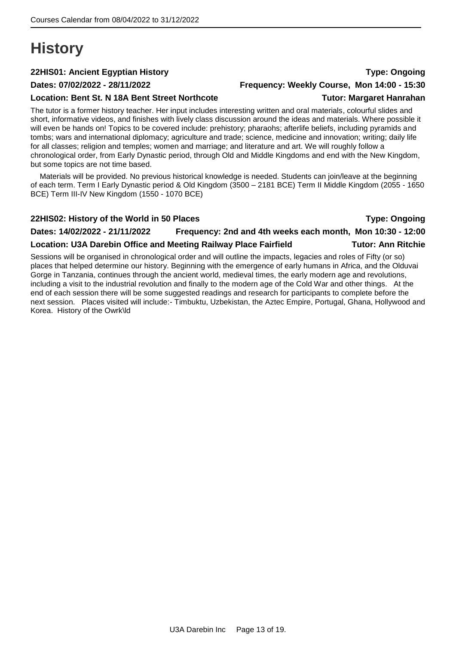## <span id="page-12-0"></span>**History**

### **22HIS01: Ancient Egyptian History Type: Ongoing**

### **Location: Bent St. N 18A Bent Street Northcote Tutor: Margaret Hanrahan**

### **Dates: 07/02/2022 - 28/11/2022 Frequency: Weekly Course, Mon 14:00 - 15:30**

The tutor is a former history teacher. Her input includes interesting written and oral materials, colourful slides and short, informative videos, and finishes with lively class discussion around the ideas and materials. Where possible it will even be hands on! Topics to be covered include: prehistory; pharaohs; afterlife beliefs, including pyramids and tombs; wars and international diplomacy; agriculture and trade; science, medicine and innovation; writing; daily life for all classes; religion and temples; women and marriage; and literature and art. We will roughly follow a chronological order, from Early Dynastic period, through Old and Middle Kingdoms and end with the New Kingdom, but some topics are not time based.

Materials will be provided. No previous historical knowledge is needed. Students can join/leave at the beginning of each term. Term I Early Dynastic period & Old Kingdom (3500 – 2181 BCE) Term II Middle Kingdom (2055 - 1650 BCE) Term III-IV New Kingdom (1550 - 1070 BCE)

### **22HIS02: History of the World in 50 Places Type: Ongoing**

### **Dates: 14/02/2022 - 21/11/2022 Frequency: 2nd and 4th weeks each month, Mon 10:30 - 12:00**

### **Location: U3A Darebin Office and Meeting Railway Place Fairfield Tutor: Ann Ritchie**

Sessions will be organised in chronological order and will outline the impacts, legacies and roles of Fifty (or so) places that helped determine our history. Beginning with the emergence of early humans in Africa, and the Olduvai Gorge in Tanzania, continues through the ancient world, medieval times, the early modern age and revolutions, including a visit to the industrial revolution and finally to the modern age of the Cold War and other things. At the end of each session there will be some suggested readings and research for participants to complete before the next session. Places visited will include:- Timbuktu, Uzbekistan, the Aztec Empire, Portugal, Ghana, Hollywood and Korea. History of the Owrk\ld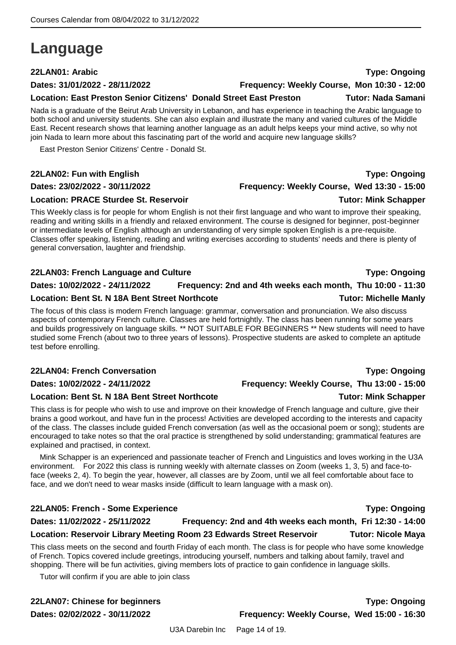## <span id="page-13-0"></span>**Language**

### **22LAN01: Arabic Type: Ongoing**

### **Dates: 31/01/2022 - 28/11/2022 Frequency: Weekly Course, Mon 10:30 - 12:00**

**Location: East Preston Senior Citizens' Donald Street East Preston Tutor: Nada Samani**

Nada is a graduate of the Beirut Arab University in Lebanon, and has experience in teaching the Arabic language to both school and university students. She can also explain and illustrate the many and varied cultures of the Middle East. Recent research shows that learning another language as an adult helps keeps your mind active, so why not join Nada to learn more about this fascinating part of the world and acquire new language skills?

East Preston Senior Citizens' Centre - Donald St.

### **22LAN02: Fun with English Type: Ongoing**

### **Dates: 23/02/2022 - 30/11/2022 Frequency: Weekly Course, Wed 13:30 - 15:00**

### **Location: PRACE Sturdee St. Reservoir Tutor: Mink Schapper**

This Weekly class is for people for whom English is not their first language and who want to improve their speaking, reading and writing skills in a friendly and relaxed environment. The course is designed for beginner, post-beginner or intermediate levels of English although an understanding of very simple spoken English is a pre-requisite. Classes offer speaking, listening, reading and writing exercises according to students' needs and there is plenty of general conversation, laughter and friendship.

### **22LAN03: French Language and Culture Type: Ongoing**

### **Dates: 10/02/2022 - 24/11/2022 Frequency: 2nd and 4th weeks each month, Thu 10:00 - 11:30**

### **Location: Bent St. N 18A Bent Street Northcote Tutor: Michelle Manly**

The focus of this class is modern French language: grammar, conversation and pronunciation. We also discuss aspects of contemporary French culture. Classes are held fortnightly. The class has been running for some years and builds progressively on language skills. \*\* NOT SUITABLE FOR BEGINNERS \*\* New students will need to have studied some French (about two to three years of lessons). Prospective students are asked to complete an aptitude test before enrolling.

### **22LAN04: French Conversation Type: Ongoing**

### **Dates: 10/02/2022 - 24/11/2022 Frequency: Weekly Course, Thu 13:00 - 15:00**

### **Location: Bent St. N 18A Bent Street Northcote Tutor: Mink Schapper**

This class is for people who wish to use and improve on their knowledge of French language and culture, give their brains a good workout, and have fun in the process! Activities are developed according to the interests and capacity of the class. The classes include guided French conversation (as well as the occasional poem or song); students are encouraged to take notes so that the oral practice is strengthened by solid understanding; grammatical features are explained and practised, in context.

Mink Schapper is an experienced and passionate teacher of French and Linguistics and loves working in the U3A environment. For 2022 this class is running weekly with alternate classes on Zoom (weeks 1, 3, 5) and face-toface (weeks 2, 4). To begin the year, however, all classes are by Zoom, until we all feel comfortable about face to face, and we don't need to wear masks inside (difficult to learn language with a mask on).

### **22LAN05: French - Some Experience Type: Ongoing**

### **Dates: 11/02/2022 - 25/11/2022 Frequency: 2nd and 4th weeks each month, Fri 12:30 - 14:00**

This class meets on the second and fourth Friday of each month. The class is for people who have some knowledge of French. Topics covered include greetings, introducing yourself, numbers and talking about family, travel and shopping. There will be fun activities, giving members lots of practice to gain confidence in language skills.

**Location: Reservoir Library Meeting Room 23 Edwards Street Reservoir Tutor: Nicole Maya**

Tutor will confirm if you are able to join class

**22LAN07: Chinese for beginners Type: Ongoing**

**Dates: 02/02/2022 - 30/11/2022 Frequency: Weekly Course, Wed 15:00 - 16:30**

U3A Darebin Inc Page 14 of 19.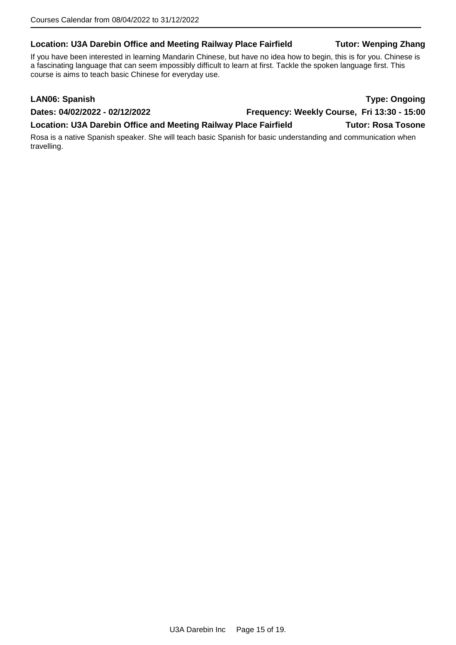### Location: U3A Darebin Office and Meeting Railway Place Fairfield **Tutor: Wenping Zhang**

If you have been interested in learning Mandarin Chinese, but have no idea how to begin, this is for you. Chinese is a fascinating language that can seem impossibly difficult to learn at first. Tackle the spoken language first. This course is aims to teach basic Chinese for everyday use.

| <b>LAN06: Spanish</b>                                                                                                        |                                             | <b>Type: Ongoing</b>      |
|------------------------------------------------------------------------------------------------------------------------------|---------------------------------------------|---------------------------|
| Dates: 04/02/2022 - 02/12/2022                                                                                               | Frequency: Weekly Course, Fri 13:30 - 15:00 |                           |
| Location: U3A Darebin Office and Meeting Railway Place Fairfield                                                             |                                             | <b>Tutor: Rosa Tosone</b> |
| Rosa is a native Spanish speaker. She will teach basic Spanish for basic understanding and communication when<br>travelling. |                                             |                           |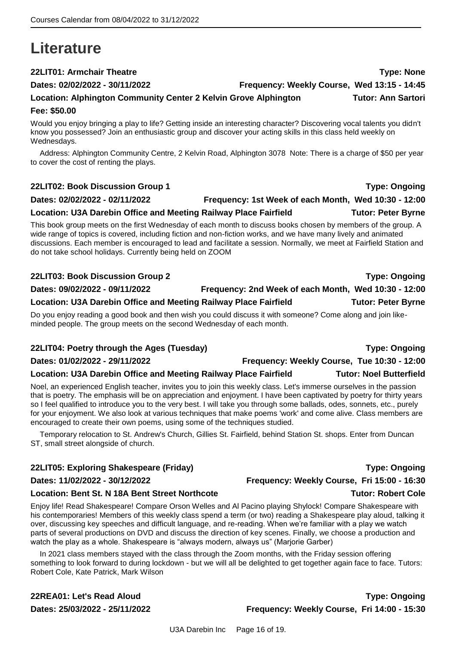## <span id="page-15-0"></span>**Literature**

**22LIT01: Armchair Theatre Type: None**

### **Dates: 02/02/2022 - 30/11/2022 Frequency: Weekly Course, Wed 13:15 - 14:45**

## **Location: Alphington Community Center 2 Kelvin Grove Alphington Tutor: Ann Sartori**

### **Fee: \$50.00**

Would you enjoy bringing a play to life? Getting inside an interesting character? Discovering vocal talents you didn't know you possessed? Join an enthusiastic group and discover your acting skills in this class held weekly on Wednesdays.

Address: Alphington Community Centre, 2 Kelvin Road, Alphington 3078 Note: There is a charge of \$50 per year to cover the cost of renting the plays.

### **22LIT02: Book Discussion Group 1 Type: Ongoing**

### **Dates: 02/02/2022 - 02/11/2022 Frequency: 1st Week of each Month, Wed 10:30 - 12:00**

Location: U3A Darebin Office and Meeting Railway Place Fairfield **Tutor: Peter Byrne** 

This book group meets on the first Wednesday of each month to discuss books chosen by members of the group. A wide range of topics is covered, including fiction and non-fiction works, and we have many lively and animated discussions. Each member is encouraged to lead and facilitate a session. Normally, we meet at Fairfield Station and do not take school holidays. Currently being held on ZOOM

### **22LIT03: Book Discussion Group 2 Type: Ongoing**

**Dates: 09/02/2022 - 09/11/2022 Frequency: 2nd Week of each Month, Wed 10:30 - 12:00**

**Location: U3A Darebin Office and Meeting Railway Place Fairfield Tutor: Peter Byrne**

Do you enjoy reading a good book and then wish you could discuss it with someone? Come along and join likeminded people. The group meets on the second Wednesday of each month.

### **22LIT04: Poetry through the Ages (Tuesday) Type: Ongoing**

### **Dates: 01/02/2022 - 29/11/2022 Frequency: Weekly Course, Tue 10:30 - 12:00**

### **Location: U3A Darebin Office and Meeting Railway Place Fairfield Tutor: Noel Butterfield**

Noel, an experienced English teacher, invites you to join this weekly class. Let's immerse ourselves in the passion that is poetry. The emphasis will be on appreciation and enjoyment. I have been captivated by poetry for thirty years so I feel qualified to introduce you to the very best. I will take you through some ballads, odes, sonnets, etc., purely for your enjoyment. We also look at various techniques that make poems 'work' and come alive. Class members are encouraged to create their own poems, using some of the techniques studied.

Temporary relocation to St. Andrew's Church, Gillies St. Fairfield, behind Station St. shops. Enter from Duncan ST, small street alongside of church.

### **22LIT05: Exploring Shakespeare (Friday) Type: Ongoing**

### **Dates: 11/02/2022 - 30/12/2022 Frequency: Weekly Course, Fri 15:00 - 16:30**

### **Location: Bent St. N 18A Bent Street Northcote Tutor: Robert Cole**

Enjoy life! Read Shakespeare! Compare Orson Welles and Al Pacino playing Shylock! Compare Shakespeare with his contemporaries! Members of this weekly class spend a term (or two) reading a Shakespeare play aloud, talking it over, discussing key speeches and difficult language, and re-reading. When we're familiar with a play we watch parts of several productions on DVD and discuss the direction of key scenes. Finally, we choose a production and watch the play as a whole. Shakespeare is "always modern, always us" (Marjorie Garber)

In 2021 class members stayed with the class through the Zoom months, with the Friday session offering something to look forward to during lockdown - but we will all be delighted to get together again face to face. Tutors: Robert Cole, Kate Patrick, Mark Wilson

### **22REA01: Let's Read Aloud Type: Ongoing Dates: 25/03/2022 - 25/11/2022 Frequency: Weekly Course, Fri 14:00 - 15:30**

### U3A Darebin Inc Page 16 of 19.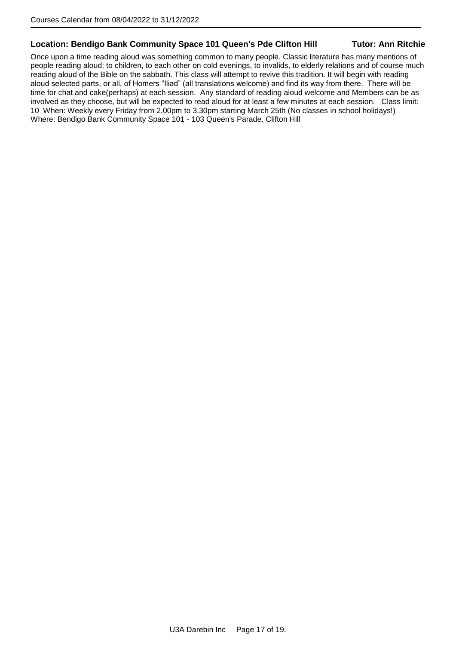### **Location: Bendigo Bank Community Space 101 Queen's Pde Clifton Hill Tutor: Ann Ritchie**

Once upon a time reading aloud was something common to many people. Classic literature has many mentions of people reading aloud; to children, to each other on cold evenings, to invalids, to elderly relations and of course much reading aloud of the Bible on the sabbath. This class will attempt to revive this tradition. It will begin with reading aloud selected parts, or all, of Homers "Iliad" (all translations welcome) and find its way from there. There will be time for chat and cake(perhaps) at each session. Any standard of reading aloud welcome and Members can be as involved as they choose, but will be expected to read aloud for at least a few minutes at each session. Class limit: 10 When: Weekly every Friday from 2.00pm to 3.30pm starting March 25th (No classes in school holidays!) Where: Bendigo Bank Community Space 101 - 103 Queen's Parade, Clifton Hill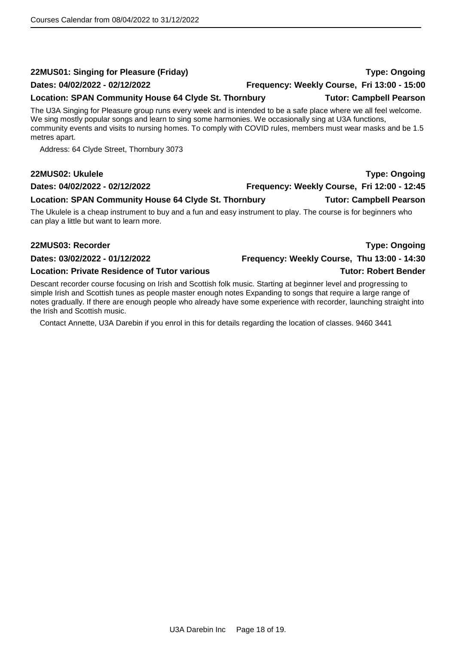### **22MUS01: Singing for Pleasure (Friday) Type: Ongoing**

### **Dates: 04/02/2022 - 02/12/2022 Frequency: Weekly Course, Fri 13:00 - 15:00**

### **Location: SPAN Community House 64 Clyde St. Thornbury Tutor: Campbell Pearson**

The U3A Singing for Pleasure group runs every week and is intended to be a safe place where we all feel welcome. We sing mostly popular songs and learn to sing some harmonies. We occasionally sing at U3A functions, community events and visits to nursing homes. To comply with COVID rules, members must wear masks and be 1.5 metres apart.

Address: 64 Clyde Street, Thornbury 3073

### **22MUS02: Ukulele Type: Ongoing**

### **Dates: 04/02/2022 - 02/12/2022 Frequency: Weekly Course, Fri 12:00 - 12:45**

**Location: SPAN Community House 64 Clyde St. Thornbury Tutor: Campbell Pearson**

The Ukulele is a cheap instrument to buy and a fun and easy instrument to play. The course is for beginners who can play a little but want to learn more.

### **22MUS03: Recorder Type: Ongoing**

**Dates: 03/02/2022 - 01/12/2022 Frequency: Weekly Course, Thu 13:00 - 14:30**

### **Location: Private Residence of Tutor various Tutor: Robert Bender**

Descant recorder course focusing on Irish and Scottish folk music. Starting at beginner level and progressing to simple Irish and Scottish tunes as people master enough notes Expanding to songs that require a large range of notes gradually. If there are enough people who already have some experience with recorder, launching straight into the Irish and Scottish music.

Contact Annette, U3A Darebin if you enrol in this for details regarding the location of classes. 9460 3441